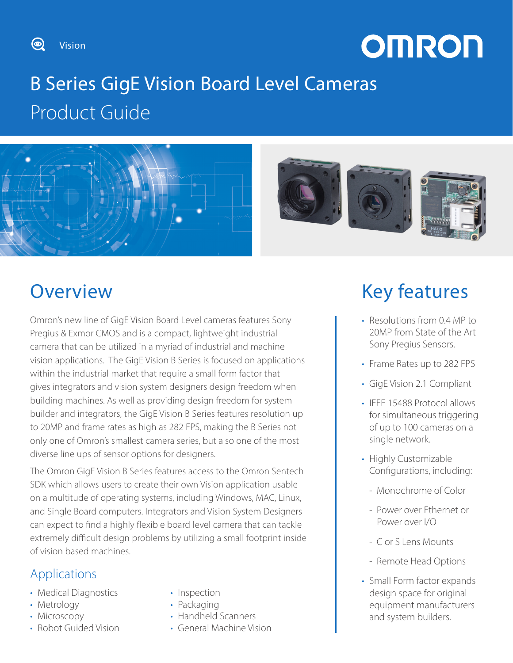Vision

 $\circledcirc$ 

# **OMRON**

# B Series GigE Vision Board Level Cameras Product Guide



## **Overview**

Omron's new line of GigE Vision Board Level cameras features Sony Pregius & Exmor CMOS and is a compact, lightweight industrial camera that can be utilized in a myriad of industrial and machine vision applications. The GigE Vision B Series is focused on applications within the industrial market that require a small form factor that gives integrators and vision system designers design freedom when building machines. As well as providing design freedom for system builder and integrators, the GigE Vision B Series features resolution up to 20MP and frame rates as high as 282 FPS, making the B Series not only one of Omron's smallest camera series, but also one of the most diverse line ups of sensor options for designers.

The Omron GigE Vision B Series features access to the Omron Sentech SDK which allows users to create their own Vision application usable on a multitude of operating systems, including Windows, MAC, Linux, and Single Board computers. Integrators and Vision System Designers can expect to find a highly flexible board level camera that can tackle extremely difficult design problems by utilizing a small footprint inside of vision based machines.

### Applications

- Medical Diagnostics
- Metrology
- Microscopy
- Robot Guided Vision
- Inspection
- Packaging
- Handheld Scanners
- General Machine Vision

## Key features

- Resolutions from 0.4 MP to 20MP from State of the Art Sony Pregius Sensors.
- Frame Rates up to 282 FPS
- GigE Vision 2.1 Compliant
- IEEE 15488 Protocol allows for simultaneous triggering of up to 100 cameras on a single network.
- Highly Customizable Configurations, including:
	- Monochrome of Color
	- Power over Ethernet or Power over I/O
	- C or S Lens Mounts
	- Remote Head Options
- Small Form factor expands design space for original equipment manufacturers and system builders.